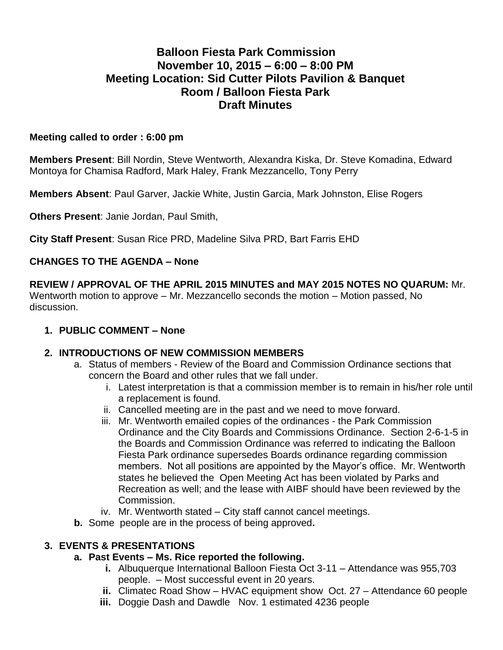# **Balloon Fiesta Park Commission November 10, 2015 – 6:00 – 8:00 PM Meeting Location: Sid Cutter Pilots Pavilion & Banquet Room / Balloon Fiesta Park Draft Minutes**

#### **Meeting called to order : 6:00 pm**

**Members Present**: Bill Nordin, Steve Wentworth, Alexandra Kiska, Dr. Steve Komadina, Edward Montoya for Chamisa Radford, Mark Haley, Frank Mezzancello, Tony Perry

**Members Absent**: Paul Garver, Jackie White, Justin Garcia, Mark Johnston, Elise Rogers

**Others Present**: Janie Jordan, Paul Smith,

**City Staff Present**: Susan Rice PRD, Madeline Silva PRD, Bart Farris EHD

### **CHANGES TO THE AGENDA – None**

**REVIEW / APPROVAL OF THE APRIL 2015 MINUTES and MAY 2015 NOTES NO QUARUM:** Mr. Wentworth motion to approve – Mr. Mezzancello seconds the motion – Motion passed, No discussion.

#### **1. PUBLIC COMMENT – None**

#### **2. INTRODUCTIONS OF NEW COMMISSION MEMBERS**

- a. Status of members Review of the Board and Commission Ordinance sections that concern the Board and other rules that we fall under.
	- i. Latest interpretation is that a commission member is to remain in his/her role until a replacement is found.
	- ii. Cancelled meeting are in the past and we need to move forward.
	- iii. Mr. Wentworth emailed copies of the ordinances the Park Commission Ordinance and the City Boards and Commissions Ordinance. Section 2-6-1-5 in the Boards and Commission Ordinance was referred to indicating the Balloon Fiesta Park ordinance supersedes Boards ordinance regarding commission members. Not all positions are appointed by the Mayor's office. Mr. Wentworth states he believed the Open Meeting Act has been violated by Parks and Recreation as well; and the lease with AIBF should have been reviewed by the Commission.
	- iv. Mr. Wentworth stated City staff cannot cancel meetings.
- **b.** Some people are in the process of being approved**.**

### **3. EVENTS & PRESENTATIONS**

### **a. Past Events – Ms. Rice reported the following.**

- **i.** Albuquerque International Balloon Fiesta Oct 3-11 Attendance was 955,703 people. – Most successful event in 20 years.
- **ii.** Climatec Road Show HVAC equipment show Oct. 27 Attendance 60 people
- **iii.** Doggie Dash and Dawdle Nov. 1 estimated 4236 people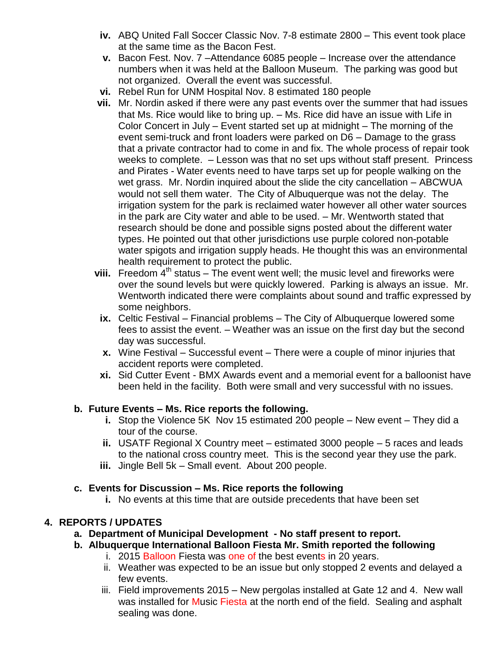- **iv.** ABQ United Fall Soccer Classic Nov. 7-8 estimate 2800 This event took place at the same time as the Bacon Fest.
- **v.** Bacon Fest. Nov. 7 –Attendance 6085 people Increase over the attendance numbers when it was held at the Balloon Museum. The parking was good but not organized. Overall the event was successful.
- **vi.** Rebel Run for UNM Hospital Nov. 8 estimated 180 people
- **vii.** Mr. Nordin asked if there were any past events over the summer that had issues that Ms. Rice would like to bring up. – Ms. Rice did have an issue with Life in Color Concert in July – Event started set up at midnight – The morning of the event semi-truck and front loaders were parked on D6 – Damage to the grass that a private contractor had to come in and fix. The whole process of repair took weeks to complete. – Lesson was that no set ups without staff present. Princess and Pirates - Water events need to have tarps set up for people walking on the wet grass. Mr. Nordin inquired about the slide the city cancellation – ABCWUA would not sell them water. The City of Albuquerque was not the delay. The irrigation system for the park is reclaimed water however all other water sources in the park are City water and able to be used. – Mr. Wentworth stated that research should be done and possible signs posted about the different water types. He pointed out that other jurisdictions use purple colored non-potable water spigots and irrigation supply heads. He thought this was an environmental health requirement to protect the public.
- **viii.** Freedom  $4<sup>th</sup>$  status The event went well; the music level and fireworks were over the sound levels but were quickly lowered. Parking is always an issue. Mr. Wentworth indicated there were complaints about sound and traffic expressed by some neighbors.
	- **ix.** Celtic Festival Financial problems The City of Albuquerque lowered some fees to assist the event. – Weather was an issue on the first day but the second day was successful.
	- **x.** Wine Festival Successful event There were a couple of minor injuries that accident reports were completed.
	- **xi.** Sid Cutter Event BMX Awards event and a memorial event for a balloonist have been held in the facility. Both were small and very successful with no issues.

### **b. Future Events – Ms. Rice reports the following.**

- **i.** Stop the Violence 5K Nov 15 estimated 200 people New event They did a tour of the course.
- **ii.** USATF Regional X Country meet estimated 3000 people 5 races and leads to the national cross country meet. This is the second year they use the park.
- **iii.** Jingle Bell 5k Small event. About 200 people.

### **c. Events for Discussion – Ms. Rice reports the following**

**i.** No events at this time that are outside precedents that have been set

## **4. REPORTS / UPDATES**

- **a. Department of Municipal Development - No staff present to report.**
- **b. Albuquerque International Balloon Fiesta Mr. Smith reported the following**
	- i. 2015 Balloon Fiesta was one of the best events in 20 years.
	- ii. Weather was expected to be an issue but only stopped 2 events and delayed a few events.
	- iii. Field improvements 2015 New pergolas installed at Gate 12 and 4. New wall was installed for Music Fiesta at the north end of the field. Sealing and asphalt sealing was done.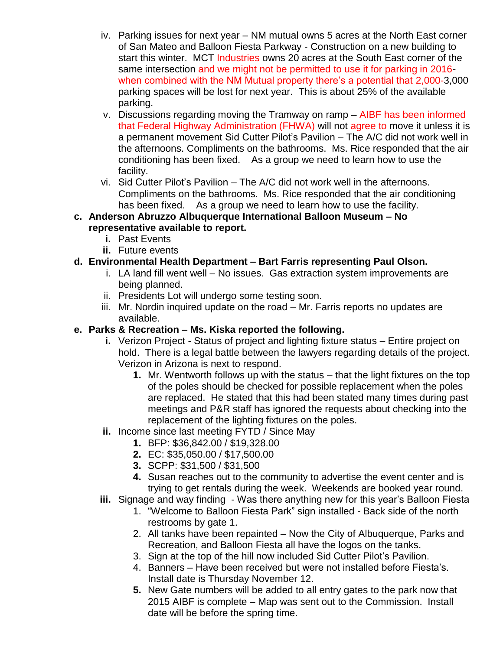- iv. Parking issues for next year NM mutual owns 5 acres at the North East corner of San Mateo and Balloon Fiesta Parkway - Construction on a new building to start this winter. MCT Industries owns 20 acres at the South East corner of the same intersection and we might not be permitted to use it for parking in 2016 when combined with the NM Mutual property there's a potential that 2,000-3,000 parking spaces will be lost for next year. This is about 25% of the available parking.
- v. Discussions regarding moving the Tramway on ramp AIBF has been informed that Federal Highway Administration (FHWA) will not agree to move it unless it is a permanent movement Sid Cutter Pilot's Pavilion – The A/C did not work well in the afternoons. Compliments on the bathrooms. Ms. Rice responded that the air conditioning has been fixed. As a group we need to learn how to use the facility.
- vi. Sid Cutter Pilot's Pavilion The A/C did not work well in the afternoons. Compliments on the bathrooms. Ms. Rice responded that the air conditioning has been fixed. As a group we need to learn how to use the facility.
- **c. Anderson Abruzzo Albuquerque International Balloon Museum – No representative available to report.** 
	- **i.** Past Events
	- **ii.** Future events

# **d. Environmental Health Department – Bart Farris representing Paul Olson.**

- i. LA land fill went well No issues. Gas extraction system improvements are being planned.
- ii. Presidents Lot will undergo some testing soon.
- iii. Mr. Nordin inquired update on the road Mr. Farris reports no updates are available.

## **e. Parks & Recreation – Ms. Kiska reported the following.**

- **i.** Verizon Project Status of project and lighting fixture status Entire project on hold. There is a legal battle between the lawyers regarding details of the project. Verizon in Arizona is next to respond.
	- **1.** Mr. Wentworth follows up with the status that the light fixtures on the top of the poles should be checked for possible replacement when the poles are replaced. He stated that this had been stated many times during past meetings and P&R staff has ignored the requests about checking into the replacement of the lighting fixtures on the poles.
- **ii.** Income since last meeting FYTD / Since May
	- **1.** BFP: \$36,842.00 / \$19,328.00
	- **2.** EC: \$35,050.00 / \$17,500.00
	- **3.** SCPP: \$31,500 / \$31,500
	- **4.** Susan reaches out to the community to advertise the event center and is trying to get rentals during the week. Weekends are booked year round.
- **iii.** Signage and way finding Was there anything new for this year's Balloon Fiesta
	- 1. "Welcome to Balloon Fiesta Park" sign installed Back side of the north restrooms by gate 1.
	- 2. All tanks have been repainted Now the City of Albuquerque, Parks and Recreation, and Balloon Fiesta all have the logos on the tanks.
	- 3. Sign at the top of the hill now included Sid Cutter Pilot's Pavilion.
	- 4. Banners Have been received but were not installed before Fiesta's. Install date is Thursday November 12.
	- **5.** New Gate numbers will be added to all entry gates to the park now that 2015 AIBF is complete – Map was sent out to the Commission. Install date will be before the spring time.